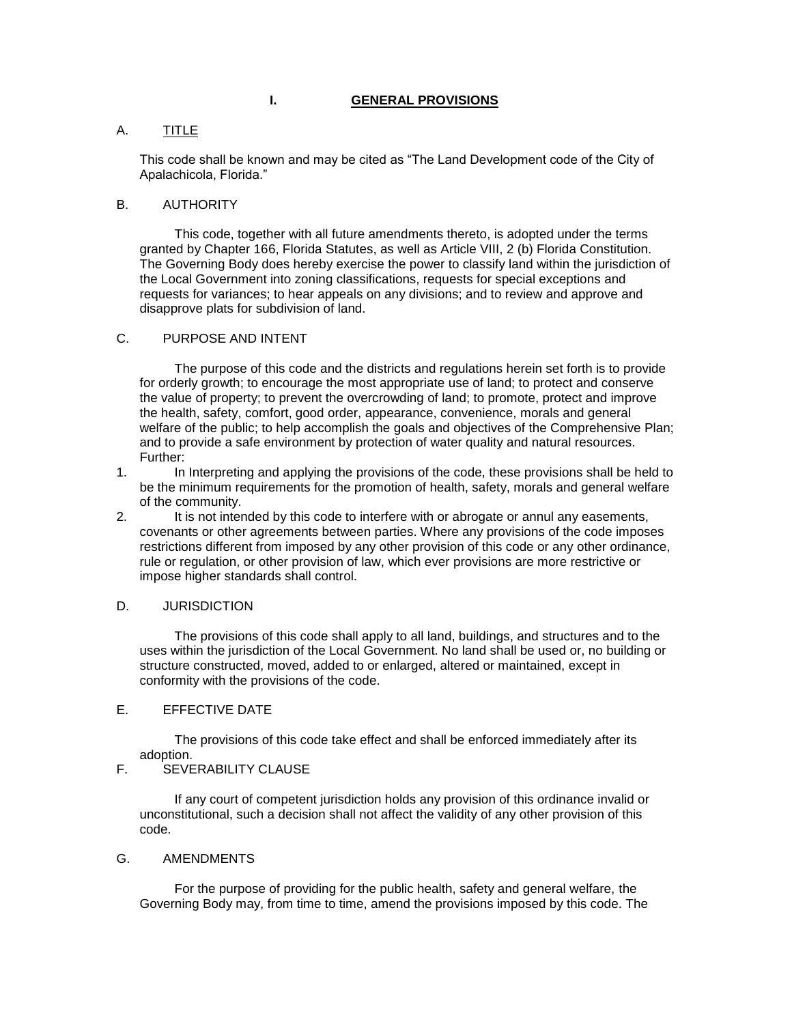## **I. GENERAL PROVISIONS**

## A. TITLE

This code shall be known and may be cited as "The Land Development code of the City of Apalachicola, Florida."

### B. AUTHORITY

This code, together with all future amendments thereto, is adopted under the terms granted by Chapter 166, Florida Statutes, as well as Article VIII, 2 (b) Florida Constitution. The Governing Body does hereby exercise the power to classify land within the jurisdiction of the Local Government into zoning classifications, requests for special exceptions and requests for variances; to hear appeals on any divisions; and to review and approve and disapprove plats for subdivision of land.

## C. PURPOSE AND INTENT

The purpose of this code and the districts and regulations herein set forth is to provide for orderly growth; to encourage the most appropriate use of land; to protect and conserve the value of property; to prevent the overcrowding of land; to promote, protect and improve the health, safety, comfort, good order, appearance, convenience, morals and general welfare of the public; to help accomplish the goals and objectives of the Comprehensive Plan; and to provide a safe environment by protection of water quality and natural resources. Further:

1. In Interpreting and applying the provisions of the code, these provisions shall be held to be the minimum requirements for the promotion of health, safety, morals and general welfare of the community.

2. It is not intended by this code to interfere with or abrogate or annul any easements, covenants or other agreements between parties. Where any provisions of the code imposes restrictions different from imposed by any other provision of this code or any other ordinance, rule or regulation, or other provision of law, which ever provisions are more restrictive or impose higher standards shall control.

### D. JURISDICTION

The provisions of this code shall apply to all land, buildings, and structures and to the uses within the jurisdiction of the Local Government. No land shall be used or, no building or structure constructed, moved, added to or enlarged, altered or maintained, except in conformity with the provisions of the code.

## E. EFFECTIVE DATE

The provisions of this code take effect and shall be enforced immediately after its adoption.

# F. SEVERABILITY CLAUSE

If any court of competent jurisdiction holds any provision of this ordinance invalid or unconstitutional, such a decision shall not affect the validity of any other provision of this code.

#### G. AMENDMENTS

For the purpose of providing for the public health, safety and general welfare, the Governing Body may, from time to time, amend the provisions imposed by this code. The